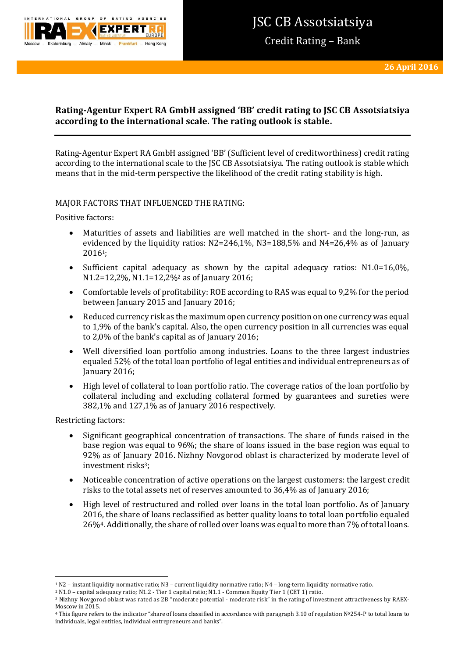

Credit Rating – Bank

# **Rating-Agentur Expert RA GmbH assigned 'BB' credit rating to JSC CB Assotsiatsiya according to the international scale. The rating outlook is stable.**

Rating-Agentur Expert RA GmbH assigned 'BB' (Sufficient level of creditworthiness) credit rating according to the international scale to the JSC CB Assotsiatsiya. The rating outlook is stable which means that in the mid-term perspective the likelihood of the credit rating stability is high.

# MAJOR FACTORS THAT INFLUENCED THE RATING:

Positive factors:

- Maturities of assets and liabilities are well matched in the short- and the long-run, as evidenced by the liquidity ratios:  $N2=246,1\%$ ,  $N3=188,5\%$  and  $N4=26,4\%$  as of January 20161;
- Sufficient capital adequacy as shown by the capital adequacy ratios:  $N1.0=16,0\%$ , N1.2=12,2%, N1.1=12,2%<sup>2</sup> as of January 2016;
- Comfortable levels of profitability: ROE according to RAS was equal to 9,2% for the period between January 2015 and January 2016;
- Reduced currency risk as the maximum open currency position on one currency was equal to 1,9% of the bank's capital. Also, the open currency position in all currencies was equal to 2,0% of the bank's capital as of January 2016;
- Well diversified loan portfolio among industries. Loans to the three largest industries equaled 52% of the total loan portfolio of legal entities and individual entrepreneurs as of January 2016;
- High level of collateral to loan portfolio ratio. The сoverage ratios of the loan portfolio by collateral including and excluding collateral formed by guarantees and sureties were 382,1% and 127,1% as of January 2016 respectively.

Restricting factors:

- Significant geographical concentration of transactions. The share of funds raised in the base region was equal to 96%; the share of loans issued in the base region was equal to 92% as of January 2016. Nizhny Novgorod oblast is characterized by moderate level of investment risks<sup>3</sup>:
- Noticeable concentration of active operations on the largest customers: the largest credit risks to the total assets net of reserves amounted to 36,4% as of January 2016;
- High level of restructured and rolled over loans in the total loan portfolio. As of January 2016, the share of loans reclassified as better quality loans to total loan portfolio equaled 26%4. Additionally, the share of rolled over loans was equal to more than 7% of total loans.

**<sup>.</sup>** <sup>1</sup> N2 – instant liquidity normative ratio; N3 – current liquidity normative ratio; N4 – long-term liquidity normative ratio.

<sup>2</sup> N1.0 – capital adequacy ratio; N1.2 - Tier 1 capital ratio; N1.1 - Common Equity Tier 1 (CET 1) ratio.

<sup>3</sup> Nizhny Novgorod oblast was rated as 2B "moderate potential - moderate risk" in the rating of investment attractiveness by RAEX-Moscow in 2015.

<sup>4</sup> This figure refers to the indicator "share of loans classified in accordance with paragraph 3.10 of regulation №254-P to total loans to individuals, legal entities, individual entrepreneurs and banks".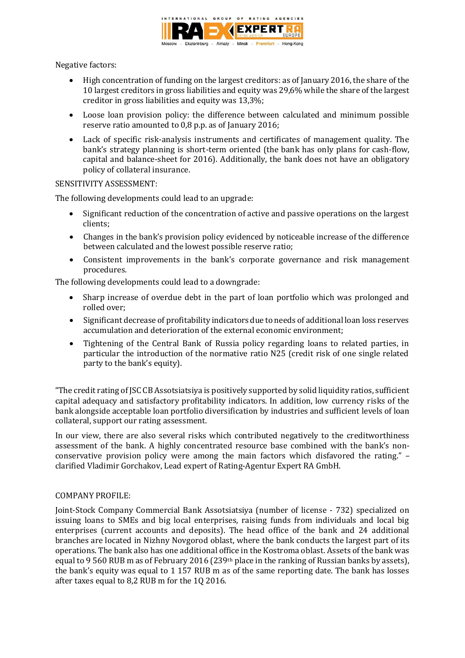

Negative factors:

- High concentration of funding on the largest creditors: as of January 2016, the share of the 10 largest creditors in gross liabilities and equity was 29,6% while the share of the largest creditor in gross liabilities and equity was 13,3%;
- Loose loan provision policy: the difference between calculated and minimum possible reserve ratio amounted to 0,8 p.p. as of January 2016;
- Lack of specific risk-analysis instruments and certificates of management quality. The bank's strategy planning is short-term oriented (the bank has only plans for cash-flow, capital and balance-sheet for 2016). Additionally, the bank does not have an obligatory policy of collateral insurance.

## SENSITIVITY ASSESSMENT:

The following developments could lead to an upgrade:

- Significant reduction of the concentration of active and passive operations on the largest clients;
- Changes in the bank's provision policy evidenced by noticeable increase of the difference between calculated and the lowest possible reserve ratio;
- Consistent improvements in the bank's corporate governance and risk management procedures.

The following developments could lead to a downgrade:

- Sharp increase of overdue debt in the part of loan portfolio which was prolonged and rolled over;
- Significant decrease of profitability indicators due to needs of additional loan loss reserves accumulation and deterioration of the external economic environment;
- Tightening of the Central Bank of Russia policy regarding loans to related parties, in particular the introduction of the normative ratio N25 (credit risk of one single related party to the bank's equity).

"The credit rating of JSC CB Assotsiatsiya is positively supported by solid liquidity ratios, sufficient capital adequacy and satisfactory profitability indicators. In addition, low currency risks of the bank alongside acceptable loan portfolio diversification by industries and sufficient levels of loan collateral, support our rating assessment.

In our view, there are also several risks which contributed negatively to the creditworthiness assessment of the bank. A highly concentrated resource base combined with the bank's nonconservative provision policy were among the main factors which disfavored the rating." – clarified Vladimir Gorchakov, Lead expert of Rating-Agentur Expert RA GmbH.

# COMPANY PROFILE:

Joint-Stock Company Commercial Bank Assotsiatsiya (number of license - 732) specialized on issuing loans to SMEs and big local enterprises, raising funds from individuals and local big enterprises (current accounts and deposits). The head office of the bank and 24 additional branches are located in Nizhny Novgorod oblast, where the bank conducts the largest part of its operations. The bank also has one additional office in the Kostroma oblast. Assets of the bank was equal to 9 560 RUB m as of February 2016 (239<sup>th</sup> place in the ranking of Russian banks by assets), the bank's equity was equal to 1 157 RUB m as of the same reporting date. The bank has losses after taxes equal to 8,2 RUB m for the 1Q 2016.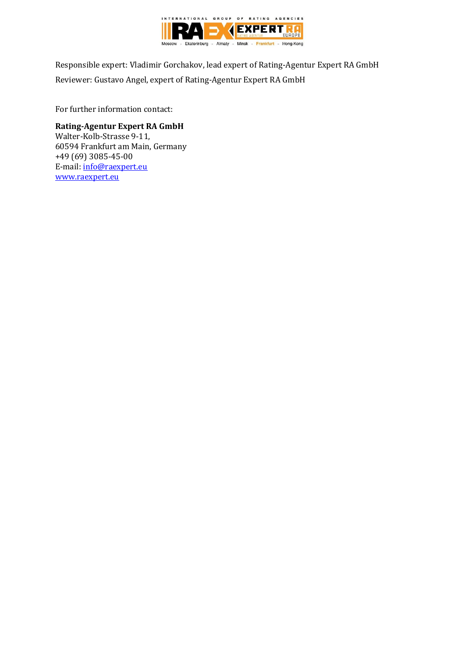

Responsible expert: Vladimir Gorchakov, lead expert of Rating-Agentur Expert RA GmbH Reviewer: Gustavo Angel, expert of Rating-Agentur Expert RA GmbH

For further information contact:

# **Rating-Agentur Expert RA GmbH**

Walter-Kolb-Strasse 9-11, 60594 Frankfurt am Main, Germany +49 (69) 3085-45-00 E-mail: [info@raexpert.eu](mailto:info@raexpert.eu) [www.raexpert.eu](http://raexpert.eu/)